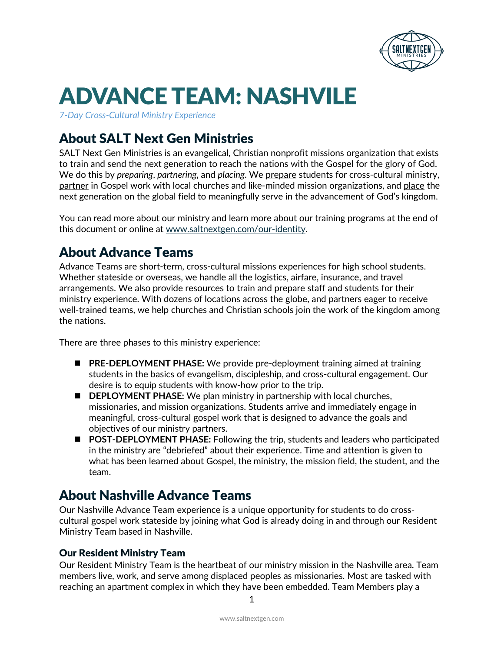

*7-Day Cross-Cultural Ministry Experience*

# About SALT Next Gen Ministries

SALT Next Gen Ministries is an evangelical, Christian nonprofit missions organization that exists to train and send the next generation to reach the nations with the Gospel for the glory of God. We do this by *preparing*, *partnering*, and *placing*. We prepare students for cross-cultural ministry, partner in Gospel work with local churches and like-minded mission organizations, and place the next generation on the global field to meaningfully serve in the advancement of God's kingdom.

You can read more about our ministry and learn more about our training programs at the end of this document or online at [www.saltnextgen.com/our-identity.](http://www.saltnextgen.com/our-identity)

# About Advance Teams

Advance Teams are short-term, cross-cultural missions experiences for high school students. Whether stateside or overseas, we handle all the logistics, airfare, insurance, and travel arrangements. We also provide resources to train and prepare staff and students for their ministry experience. With dozens of locations across the globe, and partners eager to receive well-trained teams, we help churches and Christian schools join the work of the kingdom among the nations.

There are three phases to this ministry experience:

- **PRE-DEPLOYMENT PHASE:** We provide pre-deployment training aimed at training students in the basics of evangelism, discipleship, and cross-cultural engagement. Our desire is to equip students with know-how prior to the trip.
- **DEPLOYMENT PHASE:** We plan ministry in partnership with local churches, missionaries, and mission organizations. Students arrive and immediately engage in meaningful, cross-cultural gospel work that is designed to advance the goals and objectives of our ministry partners.
- **POST-DEPLOYMENT PHASE:** Following the trip, students and leaders who participated in the ministry are "debriefed" about their experience. Time and attention is given to what has been learned about Gospel, the ministry, the mission field, the student, and the team.

# About Nashville Advance Teams

Our Nashville Advance Team experience is a unique opportunity for students to do crosscultural gospel work stateside by joining what God is already doing in and through our Resident Ministry Team based in Nashville.

### Our Resident Ministry Team

Our Resident Ministry Team is the heartbeat of our ministry mission in the Nashville area. Team members live, work, and serve among displaced peoples as missionaries. Most are tasked with reaching an apartment complex in which they have been embedded. Team Members play a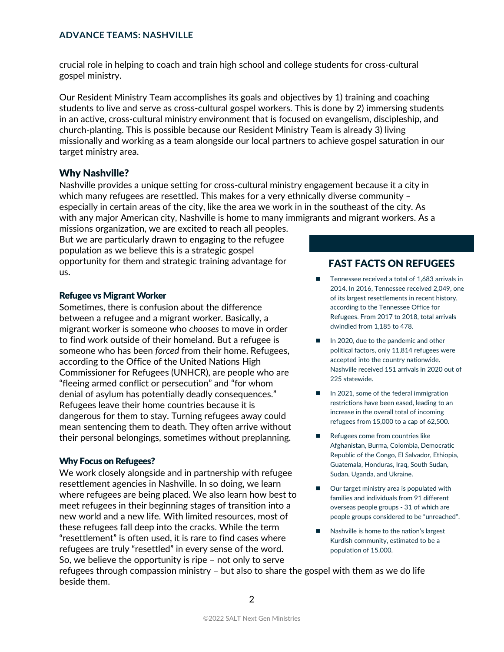crucial role in helping to coach and train high school and college students for cross-cultural gospel ministry.

Our Resident Ministry Team accomplishes its goals and objectives by 1) training and coaching students to live and serve as cross-cultural gospel workers. This is done by 2) immersing students in an active, cross-cultural ministry environment that is focused on evangelism, discipleship, and church-planting. This is possible because our Resident Ministry Team is already 3) living missionally and working as a team alongside our local partners to achieve gospel saturation in our target ministry area.

### Why Nashville?

Nashville provides a unique setting for cross-cultural ministry engagement because it a city in which many refugees are resettled. This makes for a very ethnically diverse community – especially in certain areas of the city, like the area we work in in the southeast of the city. As with any major American city, Nashville is home to many immigrants and migrant workers. As a

missions organization, we are excited to reach all peoples. But we are particularly drawn to engaging to the refugee population as we believe this is a strategic gospel opportunity for them and strategic training advantage for us.

#### Refugee vs Migrant Worker

Sometimes, there is confusion about the difference between a refugee and a migrant worker. Basically, a migrant worker is someone who *chooses* to move in order to find work outside of their homeland. But a refugee is someone who has been *forced* from their home. Refugees, according to the Office of the United Nations High Commissioner for Refugees (UNHCR), are people who are "fleeing armed conflict or persecution" and "for whom denial of asylum has potentially deadly consequences." Refugees leave their home countries because it is dangerous for them to stay. Turning refugees away could mean sentencing them to death. They often arrive without their personal belongings, sometimes without preplanning.

#### Why Focus on Refugees?

We work closely alongside and in partnership with refugee resettlement agencies in Nashville. In so doing, we learn where refugees are being placed. We also learn how best to meet refugees in their beginning stages of transition into a new world and a new life. With limited resources, most of these refugees fall deep into the cracks. While the term "resettlement" is often used, it is rare to find cases where refugees are truly "resettled" in every sense of the word. So, we believe the opportunity is ripe – not only to serve

### FAST FACTS ON REFUGEES

- Tennessee received a total of 1,683 arrivals in 2014. In 2016, Tennessee received 2,049, one of its largest resettlements in recent history, according to the Tennessee Office for Refugees. From 2017 to 2018, total arrivals dwindled from 1,185 to 478.
- In 2020, due to the pandemic and other political factors, only 11,814 refugees were accepted into the country nationwide. Nashville received 151 arrivals in 2020 out of 225 statewide.
- In 2021, some of the federal immigration restrictions have been eased, leading to an increase in the overall total of incoming refugees from 15,000 to a cap of 62,500.
- Refugees come from countries like Afghanistan, Burma, Colombia, Democratic Republic of the Congo, El Salvador, Ethiopia, Guatemala, Honduras, Iraq, South Sudan, Sudan, Uganda, and Ukraine.
- Our target ministry area is populated with families and individuals from 91 different overseas people groups - 31 of which are people groups considered to be "unreached".
- Nashville is home to the nation's largest Kurdish community, estimated to be a population of 15,000.

refugees through compassion ministry – but also to share the gospel with them as we do life beside them.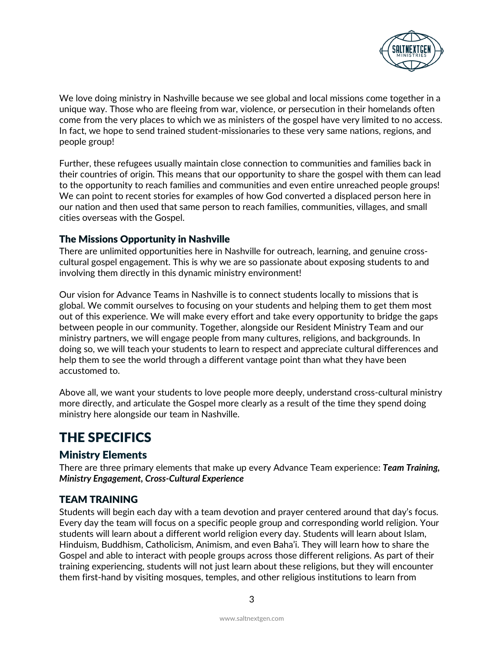

We love doing ministry in Nashville because we see global and local missions come together in a unique way. Those who are fleeing from war, violence, or persecution in their homelands often come from the very places to which we as ministers of the gospel have very limited to no access. In fact, we hope to send trained student-missionaries to these very same nations, regions, and people group!

Further, these refugees usually maintain close connection to communities and families back in their countries of origin. This means that our opportunity to share the gospel with them can lead to the opportunity to reach families and communities and even entire unreached people groups! We can point to recent stories for examples of how God converted a displaced person here in our nation and then used that same person to reach families, communities, villages, and small cities overseas with the Gospel.

### The Missions Opportunity in Nashville

There are unlimited opportunities here in Nashville for outreach, learning, and genuine crosscultural gospel engagement. This is why we are so passionate about exposing students to and involving them directly in this dynamic ministry environment!

Our vision for Advance Teams in Nashville is to connect students locally to missions that is global. We commit ourselves to focusing on your students and helping them to get them most out of this experience. We will make every effort and take every opportunity to bridge the gaps between people in our community. Together, alongside our Resident Ministry Team and our ministry partners, we will engage people from many cultures, religions, and backgrounds. In doing so, we will teach your students to learn to respect and appreciate cultural differences and help them to see the world through a different vantage point than what they have been accustomed to.

Above all, we want your students to love people more deeply, understand cross-cultural ministry more directly, and articulate the Gospel more clearly as a result of the time they spend doing ministry here alongside our team in Nashville.

# THE SPECIFICS

### Ministry Elements

There are three primary elements that make up every Advance Team experience: *Team Training, Ministry Engagement, Cross-Cultural Experience*

### TEAM TRAINING

Students will begin each day with a team devotion and prayer centered around that day's focus. Every day the team will focus on a specific people group and corresponding world religion. Your students will learn about a different world religion every day. Students will learn about Islam, Hinduism, Buddhism, Catholicism, Animism, and even Baha'i. They will learn how to share the Gospel and able to interact with people groups across those different religions. As part of their training experiencing, students will not just learn about these religions, but they will encounter them first-hand by visiting mosques, temples, and other religious institutions to learn from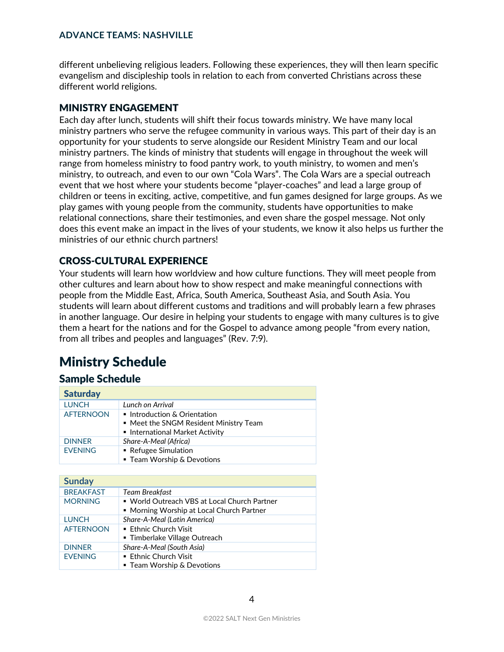different unbelieving religious leaders. Following these experiences, they will then learn specific evangelism and discipleship tools in relation to each from converted Christians across these different world religions.

#### MINISTRY ENGAGEMENT

Each day after lunch, students will shift their focus towards ministry. We have many local ministry partners who serve the refugee community in various ways. This part of their day is an opportunity for your students to serve alongside our Resident Ministry Team and our local ministry partners. The kinds of ministry that students will engage in throughout the week will range from homeless ministry to food pantry work, to youth ministry, to women and men's ministry, to outreach, and even to our own "Cola Wars". The Cola Wars are a special outreach event that we host where your students become "player-coaches" and lead a large group of children or teens in exciting, active, competitive, and fun games designed for large groups. As we play games with young people from the community, students have opportunities to make relational connections, share their testimonies, and even share the gospel message. Not only does this event make an impact in the lives of your students, we know it also helps us further the ministries of our ethnic church partners!

### CROSS-CULTURAL EXPERIENCE

Your students will learn how worldview and how culture functions. They will meet people from other cultures and learn about how to show respect and make meaningful connections with people from the Middle East, Africa, South America, Southeast Asia, and South Asia. You students will learn about different customs and traditions and will probably learn a few phrases in another language. Our desire in helping your students to engage with many cultures is to give them a heart for the nations and for the Gospel to advance among people "from every nation, from all tribes and peoples and languages" (Rev. 7:9).

# Ministry Schedule

#### Sample Schedule

| <b>Saturday</b>  |                                                                                                       |  |
|------------------|-------------------------------------------------------------------------------------------------------|--|
| <b>LUNCH</b>     | Lunch on Arrival                                                                                      |  |
| <b>AFTERNOON</b> | Introduction & Orientation<br>• Meet the SNGM Resident Ministry Team<br>International Market Activity |  |
| <b>DINNER</b>    | Share-A-Meal (Africa)                                                                                 |  |
| <b>FVFNING</b>   | ■ Refugee Simulation<br>■ Team Worship & Devotions                                                    |  |

| <b>Sunday</b>    |                                                                                           |  |
|------------------|-------------------------------------------------------------------------------------------|--|
| <b>BREAKFAST</b> | Team Breakfast                                                                            |  |
| <b>MORNING</b>   | • World Outreach VBS at Local Church Partner<br>• Morning Worship at Local Church Partner |  |
| <b>LUNCH</b>     | Share-A-Meal (Latin America)                                                              |  |
| <b>AFTERNOON</b> | ■ Fthnic Church Visit<br>■ Timberlake Village Outreach                                    |  |
| <b>DINNER</b>    | Share-A-Meal (South Asia)                                                                 |  |
| <b>EVENING</b>   | ■ Fthnic Church Visit<br>■ Team Worship & Devotions                                       |  |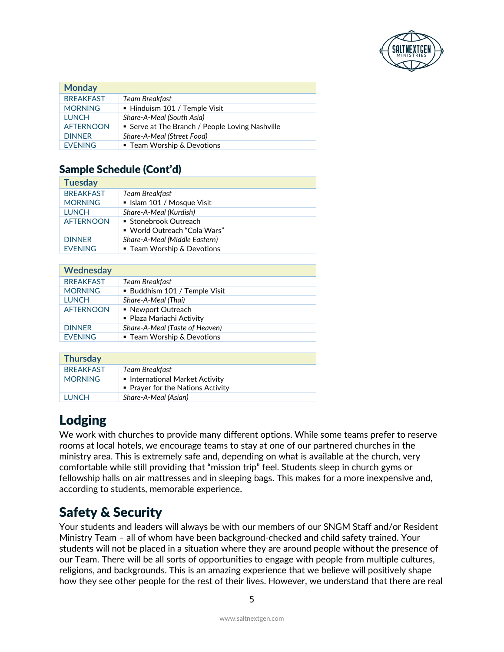

| <b>Monday</b>    |                                                 |
|------------------|-------------------------------------------------|
| <b>BRFAKFAST</b> | Team Breakfast                                  |
| <b>MORNING</b>   | • Hinduism 101 / Temple Visit                   |
| <b>LUNCH</b>     | Share-A-Meal (South Asia)                       |
| <b>AFTFRNOON</b> | • Serve at The Branch / People Loving Nashville |
| <b>DINNER</b>    | Share-A-Meal (Street Food)                      |
| <b>FVFNING</b>   | ■ Team Worship & Devotions                      |

# Sample Schedule (Cont'd)

| <b>Tuesday</b>   |                                                       |  |
|------------------|-------------------------------------------------------|--|
| <b>BREAKFAST</b> | Team Breakfast                                        |  |
| <b>MORNING</b>   | ■ Islam 101 / Mosque Visit                            |  |
| <b>LUNCH</b>     | Share-A-Meal (Kurdish)                                |  |
| <b>AFTERNOON</b> | ■ Stonebrook Outreach<br>■ World Outreach "Cola Wars" |  |
| <b>DINNER</b>    | Share-A-Meal (Middle Eastern)                         |  |
| <b>FVFNING</b>   | ■ Team Worship & Devotions                            |  |

| Wednesday        |                                                 |  |
|------------------|-------------------------------------------------|--|
| <b>BREAKFAST</b> | Team Breakfast                                  |  |
| <b>MORNING</b>   | • Buddhism 101 / Temple Visit                   |  |
| <b>LUNCH</b>     | Share-A-Meal (Thai)                             |  |
| <b>AFTFRNOON</b> | • Newport Outreach<br>• Plaza Mariachi Activity |  |
| <b>DINNER</b>    | Share-A-Meal (Taste of Heaven)                  |  |
| <b>EVENING</b>   | ■ Team Worship & Devotions                      |  |

| <b>Thursday</b>  |                                                                    |  |
|------------------|--------------------------------------------------------------------|--|
| <b>BRFAKFAST</b> | Team Breakfast                                                     |  |
| <b>MORNING</b>   | International Market Activity<br>• Prayer for the Nations Activity |  |
| <b>TUNCH</b>     | Share-A-Meal (Asian)                                               |  |

# Lodging

We work with churches to provide many different options. While some teams prefer to reserve rooms at local hotels, we encourage teams to stay at one of our partnered churches in the ministry area. This is extremely safe and, depending on what is available at the church, very comfortable while still providing that "mission trip" feel. Students sleep in church gyms or fellowship halls on air mattresses and in sleeping bags. This makes for a more inexpensive and, according to students, memorable experience.

# Safety & Security

Your students and leaders will always be with our members of our SNGM Staff and/or Resident Ministry Team – all of whom have been background-checked and child safety trained. Your students will not be placed in a situation where they are around people without the presence of our Team. There will be all sorts of opportunities to engage with people from multiple cultures, religions, and backgrounds. This is an amazing experience that we believe will positively shape how they see other people for the rest of their lives. However, we understand that there are real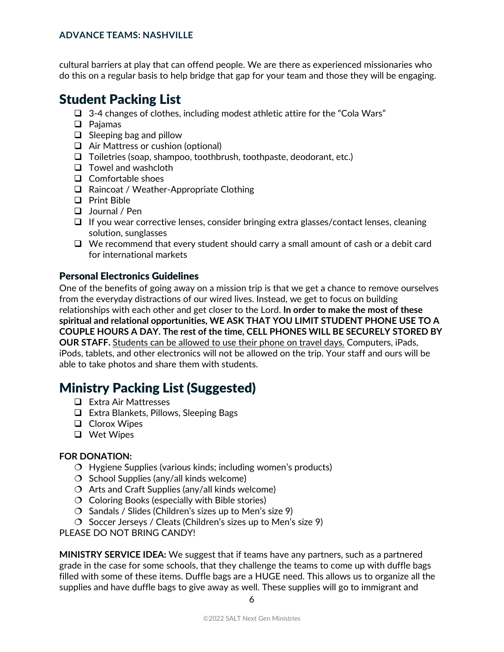cultural barriers at play that can offend people. We are there as experienced missionaries who do this on a regular basis to help bridge that gap for your team and those they will be engaging.

# Student Packing List

- $\Box$  3-4 changes of clothes, including modest athletic attire for the "Cola Wars"
- □ Pajamas
- $\Box$  Sleeping bag and pillow
- □ Air Mattress or cushion (optional)
- $\Box$  Toiletries (soap, shampoo, toothbrush, toothpaste, deodorant, etc.)
- $\Box$  Towel and washcloth
- $\Box$  Comfortable shoes
- □ Raincoat / Weather-Appropriate Clothing
- **Print Bible**
- Journal / Pen
- $\Box$  If you wear corrective lenses, consider bringing extra glasses/contact lenses, cleaning solution, sunglasses
- $\Box$  We recommend that every student should carry a small amount of cash or a debit card for international markets

### Personal Electronics Guidelines

One of the benefits of going away on a mission trip is that we get a chance to remove ourselves from the everyday distractions of our wired lives. Instead, we get to focus on building relationships with each other and get closer to the Lord. **In order to make the most of these spiritual and relational opportunities, WE ASK THAT YOU LIMIT STUDENT PHONE USE TO A COUPLE HOURS A DAY. The rest of the time, CELL PHONES WILL BE SECURELY STORED BY OUR STAFF.** Students can be allowed to use their phone on travel days. Computers, iPads, iPods, tablets, and other electronics will not be allowed on the trip. Your staff and ours will be able to take photos and share them with students.

# Ministry Packing List (Suggested)

- **□** Extra Air Mattresses
- Extra Blankets, Pillows, Sleeping Bags
- **Q** Clorox Wipes
- □ Wet Wipes

#### **FOR DONATION:**

- $\overline{O}$  Hygiene Supplies (various kinds; including women's products)
- $\overline{O}$  School Supplies (any/all kinds welcome)
- $\overline{O}$  Arts and Craft Supplies (any/all kinds welcome)
- $\overline{O}$  Coloring Books (especially with Bible stories)
- $\overline{O}$  Sandals / Slides (Children's sizes up to Men's size 9)
- $\overline{O}$  Soccer Jerseys / Cleats (Children's sizes up to Men's size 9)

PLEASE DO NOT BRING CANDY!

**MINISTRY SERVICE IDEA:** We suggest that if teams have any partners, such as a partnered grade in the case for some schools, that they challenge the teams to come up with duffle bags filled with some of these items. Duffle bags are a HUGE need. This allows us to organize all the supplies and have duffle bags to give away as well. These supplies will go to immigrant and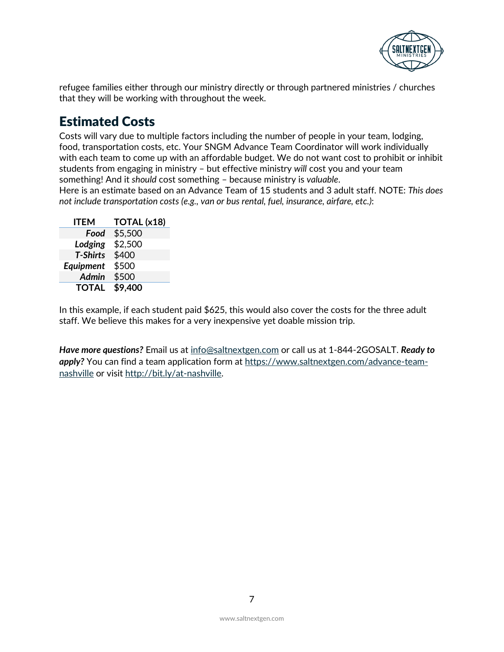

refugee families either through our ministry directly or through partnered ministries / churches that they will be working with throughout the week.

# Estimated Costs

Costs will vary due to multiple factors including the number of people in your team, lodging, food, transportation costs, etc. Your SNGM Advance Team Coordinator will work individually with each team to come up with an affordable budget. We do not want cost to prohibit or inhibit students from engaging in ministry – but effective ministry *will* cost you and your team something! And it *should* cost something – because ministry is *valuable*.

Here is an estimate based on an Advance Team of 15 students and 3 adult staff. NOTE: *This does not include transportation costs (e.g., van or bus rental, fuel, insurance, airfare, etc.)*:

| ITEM             | TOTAL (x18) |
|------------------|-------------|
| Food             | \$5,500     |
| Lodging          | \$2,500     |
| <b>T-Shirts</b>  | \$400       |
| <b>Equipment</b> | \$500       |
| Admin            | \$500       |
| <b>TOTAL</b>     | \$9,400     |

In this example, if each student paid \$625, this would also cover the costs for the three adult staff. We believe this makes for a very inexpensive yet doable mission trip.

*Have more questions?* Email us at [info@saltnextgen.com](mailto:info@saltnextgen.com) or call us at 1-844-2GOSALT. *Ready to*  apply? You can find a team application form at [https://www.saltnextgen.com/advance-team](https://www.saltnextgen.com/advance-team-nashville)[nashville](https://www.saltnextgen.com/advance-team-nashville) or visit [http://bit.ly/at-nashville.](http://bit.ly/at-nashville)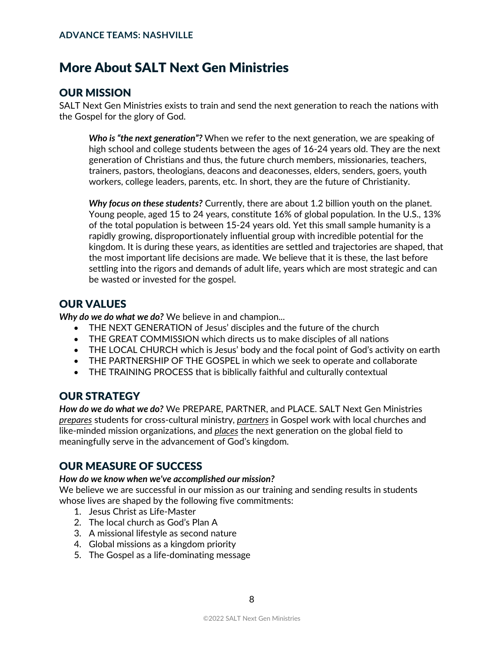# More About SALT Next Gen Ministries

### OUR MISSION

SALT Next Gen Ministries exists to train and send the next generation to reach the nations with the Gospel for the glory of God.

*Who is "the next generation"?* When we refer to the next generation, we are speaking of high school and college students between the ages of 16-24 years old. They are the next generation of Christians and thus, the future church members, missionaries, teachers, trainers, pastors, theologians, deacons and deaconesses, elders, senders, goers, youth workers, college leaders, parents, etc. In short, they are the future of Christianity.

*Why focus on these students?* Currently, there are about 1.2 billion youth on the planet. Young people, aged 15 to 24 years, constitute 16% of global population. In the U.S., 13% of the total population is between 15-24 years old. Yet this small sample humanity is a rapidly growing, disproportionately influential group with incredible potential for the kingdom. It is during these years, as identities are settled and trajectories are shaped, that the most important life decisions are made. We believe that it is these, the last before settling into the rigors and demands of adult life, years which are most strategic and can be wasted or invested for the gospel.

# OUR VALUES

*Why do we do what we do?* We believe in and champion...

- THE NEXT GENERATION of Jesus' disciples and the future of the church
- THE GREAT COMMISSION which directs us to make disciples of all nations
- THE LOCAL CHURCH which is Jesus' body and the focal point of God's activity on earth
- THE PARTNERSHIP OF THE GOSPEL in which we seek to operate and collaborate
- THE TRAINING PROCESS that is biblically faithful and culturally contextual

### OUR STRATEGY

*How do we do what we do?* We PREPARE, PARTNER, and PLACE. SALT Next Gen Ministries *prepares* students for cross-cultural ministry, *partners* in Gospel work with local churches and like-minded mission organizations, and *places* the next generation on the global field to meaningfully serve in the advancement of God's kingdom.

# OUR MEASURE OF SUCCESS

#### *How do we know when we've accomplished our mission?*

We believe we are successful in our mission as our training and sending results in students whose lives are shaped by the following five commitments:

- 1. Jesus Christ as Life-Master
- 2. The local church as God's Plan A
- 3. A missional lifestyle as second nature
- 4. Global missions as a kingdom priority
- 5. The Gospel as a life-dominating message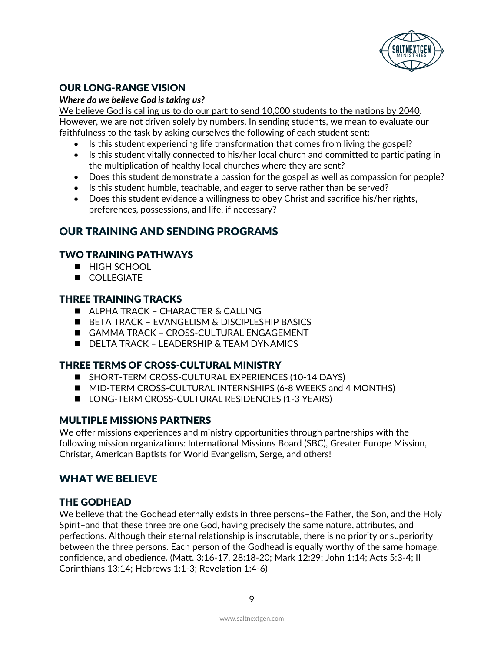

### OUR LONG-RANGE VISION

#### *Where do we believe God is taking us?*

We believe God is calling us to do our part to send 10,000 students to the nations by 2040. However, we are not driven solely by numbers. In sending students, we mean to evaluate our faithfulness to the task by asking ourselves the following of each student sent:

- Is this student experiencing life transformation that comes from living the gospel?
- Is this student vitally connected to his/her local church and committed to participating in the multiplication of healthy local churches where they are sent?
- Does this student demonstrate a passion for the gospel as well as compassion for people?
- Is this student humble, teachable, and eager to serve rather than be served?
- Does this student evidence a willingness to obey Christ and sacrifice his/her rights, preferences, possessions, and life, if necessary?

### OUR TRAINING AND SENDING PROGRAMS

### TWO TRAINING PATHWAYS

- **HIGH SCHOOL**
- **COLLEGIATE**

### THREE TRAINING TRACKS

- **ALPHA TRACK CHARACTER & CALLING**
- BETA TRACK EVANGELISM & DISCIPLESHIP BASICS
- GAMMA TRACK CROSS-CULTURAL ENGAGEMENT
- **DELTA TRACK LEADERSHIP & TEAM DYNAMICS**

### THREE TERMS OF CROSS-CULTURAL MINISTRY

- SHORT-TERM CROSS-CULTURAL EXPERIENCES (10-14 DAYS)
- **MID-TERM CROSS-CULTURAL INTERNSHIPS (6-8 WEEKS and 4 MONTHS)**
- LONG-TERM CROSS-CULTURAL RESIDENCIES (1-3 YEARS)

### MULTIPLE MISSIONS PARTNERS

We offer missions experiences and ministry opportunities through partnerships with the following mission organizations: International Missions Board (SBC), Greater Europe Mission, Christar, American Baptists for World Evangelism, Serge, and others!

# WHAT WE BELIEVE

### THE GODHEAD

We believe that the Godhead eternally exists in three persons–the Father, the Son, and the Holy Spirit–and that these three are one God, having precisely the same nature, attributes, and perfections. Although their eternal relationship is inscrutable, there is no priority or superiority between the three persons. Each person of the Godhead is equally worthy of the same homage, confidence, and obedience. (Matt. 3:16-17, 28:18-20; Mark 12:29; John 1:14; Acts 5:3-4; II Corinthians 13:14; Hebrews 1:1-3; Revelation 1:4-6)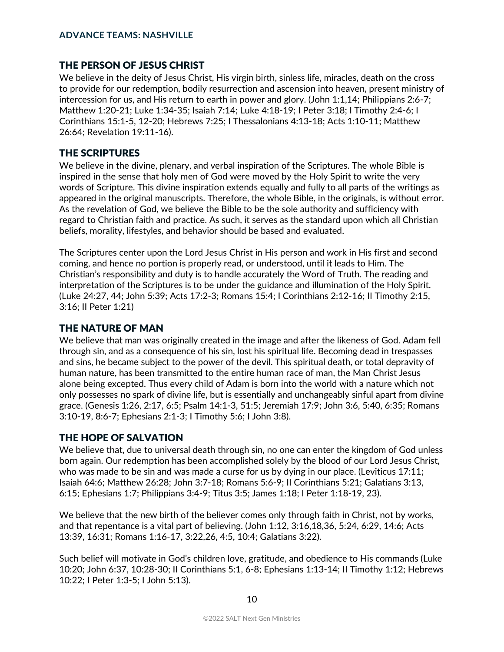### THE PERSON OF JESUS CHRIST

We believe in the deity of Jesus Christ, His virgin birth, sinless life, miracles, death on the cross to provide for our redemption, bodily resurrection and ascension into heaven, present ministry of intercession for us, and His return to earth in power and glory. (John 1:1,14; Philippians 2:6-7; Matthew 1:20-21; Luke 1:34-35; Isaiah 7:14; Luke 4:18-19; I Peter 3:18; I Timothy 2:4-6; I Corinthians 15:1-5, 12-20; Hebrews 7:25; I Thessalonians 4:13-18; Acts 1:10-11; Matthew 26:64; Revelation 19:11-16).

### THE SCRIPTURES

We believe in the divine, plenary, and verbal inspiration of the Scriptures. The whole Bible is inspired in the sense that holy men of God were moved by the Holy Spirit to write the very words of Scripture. This divine inspiration extends equally and fully to all parts of the writings as appeared in the original manuscripts. Therefore, the whole Bible, in the originals, is without error. As the revelation of God, we believe the Bible to be the sole authority and sufficiency with regard to Christian faith and practice. As such, it serves as the standard upon which all Christian beliefs, morality, lifestyles, and behavior should be based and evaluated.

The Scriptures center upon the Lord Jesus Christ in His person and work in His first and second coming, and hence no portion is properly read, or understood, until it leads to Him. The Christian's responsibility and duty is to handle accurately the Word of Truth. The reading and interpretation of the Scriptures is to be under the guidance and illumination of the Holy Spirit. (Luke 24:27, 44; John 5:39; Acts 17:2-3; Romans 15:4; I Corinthians 2:12-16; II Timothy 2:15, 3:16; II Peter 1:21)

### THE NATURE OF MAN

We believe that man was originally created in the image and after the likeness of God. Adam fell through sin, and as a consequence of his sin, lost his spiritual life. Becoming dead in trespasses and sins, he became subject to the power of the devil. This spiritual death, or total depravity of human nature, has been transmitted to the entire human race of man, the Man Christ Jesus alone being excepted. Thus every child of Adam is born into the world with a nature which not only possesses no spark of divine life, but is essentially and unchangeably sinful apart from divine grace. (Genesis 1:26, 2:17, 6:5; Psalm 14:1-3, 51:5; Jeremiah 17:9; John 3:6, 5:40, 6:35; Romans 3:10-19, 8:6-7; Ephesians 2:1-3; I Timothy 5:6; I John 3:8).

### THE HOPE OF SALVATION

We believe that, due to universal death through sin, no one can enter the kingdom of God unless born again. Our redemption has been accomplished solely by the blood of our Lord Jesus Christ, who was made to be sin and was made a curse for us by dying in our place. (Leviticus 17:11; Isaiah 64:6; Matthew 26:28; John 3:7-18; Romans 5:6-9; II Corinthians 5:21; Galatians 3:13, 6:15; Ephesians 1:7; Philippians 3:4-9; Titus 3:5; James 1:18; I Peter 1:18-19, 23).

We believe that the new birth of the believer comes only through faith in Christ, not by works, and that repentance is a vital part of believing. (John 1:12, 3:16,18,36, 5:24, 6:29, 14:6; Acts 13:39, 16:31; Romans 1:16-17, 3:22,26, 4:5, 10:4; Galatians 3:22).

Such belief will motivate in God's children love, gratitude, and obedience to His commands (Luke 10:20; John 6:37, 10:28-30; II Corinthians 5:1, 6-8; Ephesians 1:13-14; II Timothy 1:12; Hebrews 10:22; I Peter 1:3-5; I John 5:13).